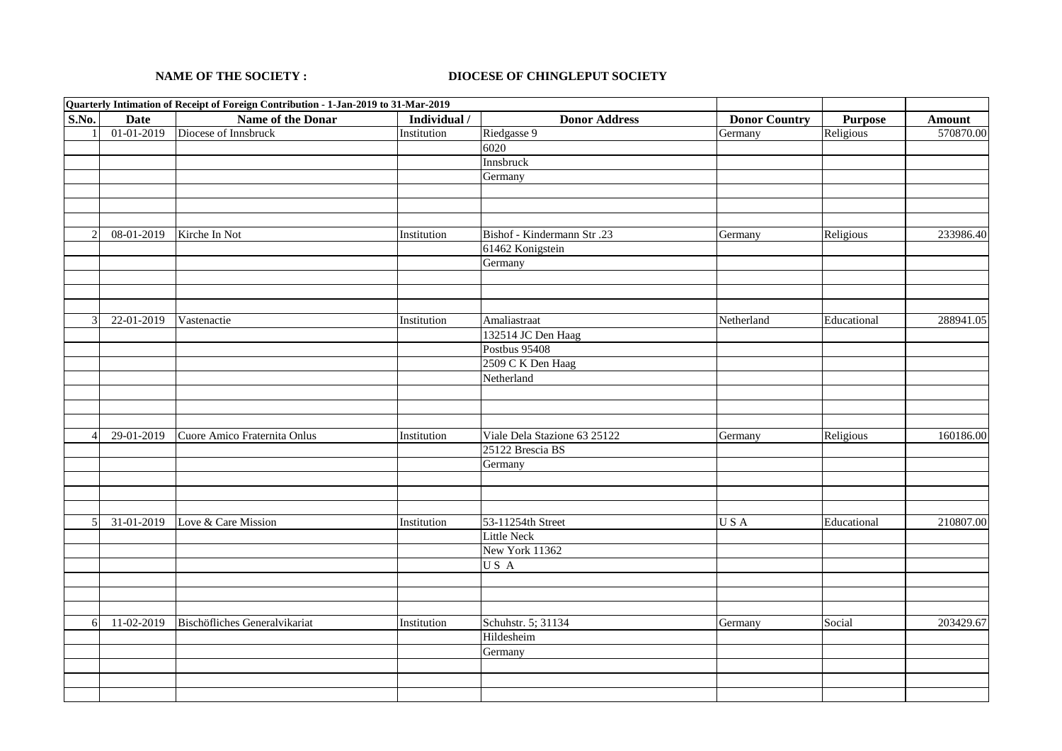## **NAME OF THE SOCIETY : DIOCESE OF CHINGLEPUT SOCIETY**

|                |             | Quarterly Intimation of Receipt of Foreign Contribution - 1-Jan-2019 to 31-Mar-2019 |              |                              |                      |                |               |
|----------------|-------------|-------------------------------------------------------------------------------------|--------------|------------------------------|----------------------|----------------|---------------|
| S.No.          | <b>Date</b> | Name of the Donar                                                                   | Individual / | <b>Donor Address</b>         | <b>Donor Country</b> | <b>Purpose</b> | <b>Amount</b> |
| $\mathbf{1}$   | 01-01-2019  | Diocese of Innsbruck                                                                | Institution  | Riedgasse 9                  | Germany              | Religious      | 570870.00     |
|                |             |                                                                                     |              | 6020                         |                      |                |               |
|                |             |                                                                                     |              | Innsbruck                    |                      |                |               |
|                |             |                                                                                     |              | Germany                      |                      |                |               |
|                |             |                                                                                     |              |                              |                      |                |               |
|                |             |                                                                                     |              |                              |                      |                |               |
|                |             |                                                                                     |              |                              |                      |                |               |
| 2              | 08-01-2019  | Kirche In Not                                                                       | Institution  | Bishof - Kindermann Str.23   | Germany              | Religious      | 233986.40     |
|                |             |                                                                                     |              | 61462 Konigstein             |                      |                |               |
|                |             |                                                                                     |              | Germany                      |                      |                |               |
|                |             |                                                                                     |              |                              |                      |                |               |
|                |             |                                                                                     |              |                              |                      |                |               |
|                |             |                                                                                     |              |                              |                      |                |               |
| 3              | 22-01-2019  | Vastenactie                                                                         | Institution  | Amaliastraat                 | Netherland           | Educational    | 288941.05     |
|                |             |                                                                                     |              | 132514 JC Den Haag           |                      |                |               |
|                |             |                                                                                     |              | <b>Postbus 95408</b>         |                      |                |               |
|                |             |                                                                                     |              | 2509 C K Den Haag            |                      |                |               |
|                |             |                                                                                     |              | Netherland                   |                      |                |               |
|                |             |                                                                                     |              |                              |                      |                |               |
|                |             |                                                                                     |              |                              |                      |                |               |
|                |             |                                                                                     |              |                              |                      |                |               |
| $\overline{4}$ | 29-01-2019  | Cuore Amico Fraternita Onlus                                                        | Institution  | Viale Dela Stazione 63 25122 | Germany              | Religious      | 160186.00     |
|                |             |                                                                                     |              | 25122 Brescia BS             |                      |                |               |
|                |             |                                                                                     |              | Germany                      |                      |                |               |
|                |             |                                                                                     |              |                              |                      |                |               |
|                |             |                                                                                     |              |                              |                      |                |               |
|                |             |                                                                                     |              |                              |                      |                |               |
| 5              | 31-01-2019  | Love & Care Mission                                                                 | Institution  | 53-11254th Street            | USA                  | Educational    | 210807.00     |
|                |             |                                                                                     |              | Little Neck                  |                      |                |               |
|                |             |                                                                                     |              | New York 11362               |                      |                |               |
|                |             |                                                                                     |              | US A                         |                      |                |               |
|                |             |                                                                                     |              |                              |                      |                |               |
|                |             |                                                                                     |              |                              |                      |                |               |
|                |             |                                                                                     |              |                              |                      |                |               |
| 6              | 11-02-2019  | Bischöfliches Generalvikariat                                                       | Institution  | Schuhstr. 5; 31134           | Germany              | Social         | 203429.67     |
|                |             |                                                                                     |              | Hildesheim                   |                      |                |               |
|                |             |                                                                                     |              | Germany                      |                      |                |               |
|                |             |                                                                                     |              |                              |                      |                |               |
|                |             |                                                                                     |              |                              |                      |                |               |
|                |             |                                                                                     |              |                              |                      |                |               |